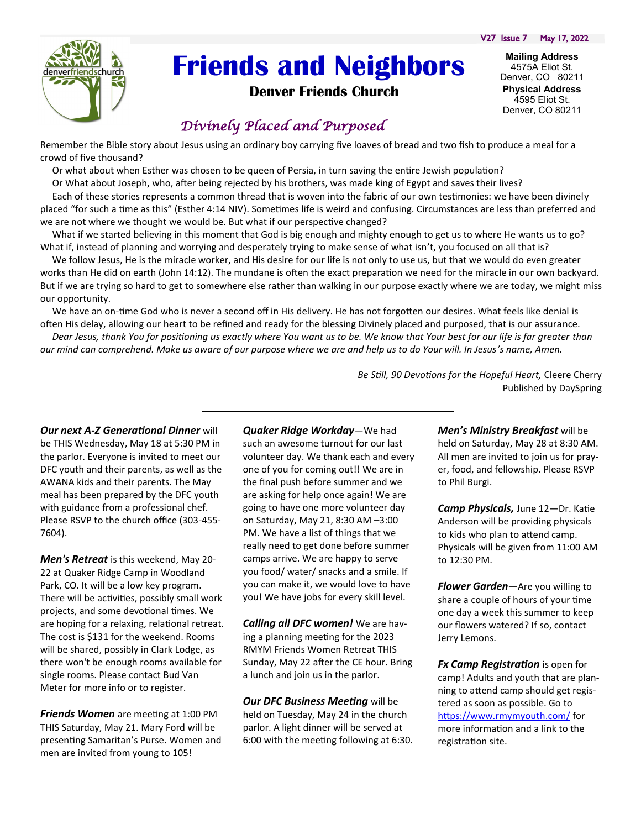V27 Issue 7 May 17, 2022



# **Friends and Neighbors**

**Denver Friends Church**

**Mailing Address** 4575A Eliot St. Denver, CO 80211 **Physical Address** 4595 Eliot St. Denver, CO 80211

## *Divinely Placed and Purposed*

Remember the Bible story about Jesus using an ordinary boy carrying five loaves of bread and two fish to produce a meal for a crowd of five thousand?

Or what about when Esther was chosen to be queen of Persia, in turn saving the entire Jewish population?

 Or What about Joseph, who, after being rejected by his brothers, was made king of Egypt and saves their lives? Each of these stories represents a common thread that is woven into the fabric of our own testimonies: we have been divinely

placed "for such a time as this" (Esther 4:14 NIV). Sometimes life is weird and confusing. Circumstances are less than preferred and we are not where we thought we would be. But what if our perspective changed?

 What if we started believing in this moment that God is big enough and mighty enough to get us to where He wants us to go? What if, instead of planning and worrying and desperately trying to make sense of what isn't, you focused on all that is?

 We follow Jesus, He is the miracle worker, and His desire for our life is not only to use us, but that we would do even greater works than He did on earth (John 14:12). The mundane is often the exact preparation we need for the miracle in our own backyard. But if we are trying so hard to get to somewhere else rather than walking in our purpose exactly where we are today, we might miss our opportunity.

 We have an on-time God who is never a second off in His delivery. He has not forgotten our desires. What feels like denial is often His delay, allowing our heart to be refined and ready for the blessing Divinely placed and purposed, that is our assurance.

 *Dear Jesus, thank You for positioning us exactly where You want us to be. We know that Your best for our life is far greater than our mind can comprehend. Make us aware of our purpose where we are and help us to do Your will. In Jesus's name, Amen.*

> *Be Still, 90 Devotions for the Hopeful Heart,* Cleere Cherry Published by DaySpring

*Our next A-Z Generational Dinner* will

be THIS Wednesday, May 18 at 5:30 PM in the parlor. Everyone is invited to meet our DFC youth and their parents, as well as the AWANA kids and their parents. The May meal has been prepared by the DFC youth with guidance from a professional chef. Please RSVP to the church office (303-455- 7604).

*Men's Retreat* is this weekend, May 20- 22 at Quaker Ridge Camp in Woodland Park, CO. It will be a low key program. There will be activities, possibly small work projects, and some devotional times. We are hoping for a relaxing, relational retreat. The cost is \$131 for the weekend. Rooms will be shared, possibly in Clark Lodge, as there won't be enough rooms available for single rooms. Please contact Bud Van Meter for more info or to register.

*Friends Women* are meeting at 1:00 PM THIS Saturday, May 21. Mary Ford will be presenting Samaritan's Purse. Women and men are invited from young to 105!

*Quaker Ridge Workday*—We had such an awesome turnout for our last volunteer day. We thank each and every one of you for coming out!! We are in the final push before summer and we are asking for help once again! We are going to have one more volunteer day on Saturday, May 21, 8:30 AM –3:00 PM. We have a list of things that we really need to get done before summer camps arrive. We are happy to serve you food/ water/ snacks and a smile. If you can make it, we would love to have you! We have jobs for every skill level.

*Calling all DFC women!* We are having a planning meeting for the 2023 RMYM Friends Women Retreat THIS Sunday, May 22 after the CE hour. Bring a lunch and join us in the parlor.

*Our DFC Business Meeting* will be held on Tuesday, May 24 in the church parlor. A light dinner will be served at 6:00 with the meeting following at 6:30. *Men's Ministry Breakfast* will be held on Saturday, May 28 at 8:30 AM. All men are invited to join us for prayer, food, and fellowship. Please RSVP to Phil Burgi.

*Camp Physicals,* June 12—Dr. Katie Anderson will be providing physicals to kids who plan to attend camp. Physicals will be given from 11:00 AM to 12:30 PM.

*Flower Garden*—Are you willing to share a couple of hours of your time one day a week this summer to keep our flowers watered? If so, contact Jerry Lemons.

*Fx Camp Registration* is open for camp! Adults and youth that are planning to attend camp should get registered as soon as possible. Go to <https://www.rmymyouth.com/> for more information and a link to the registration site.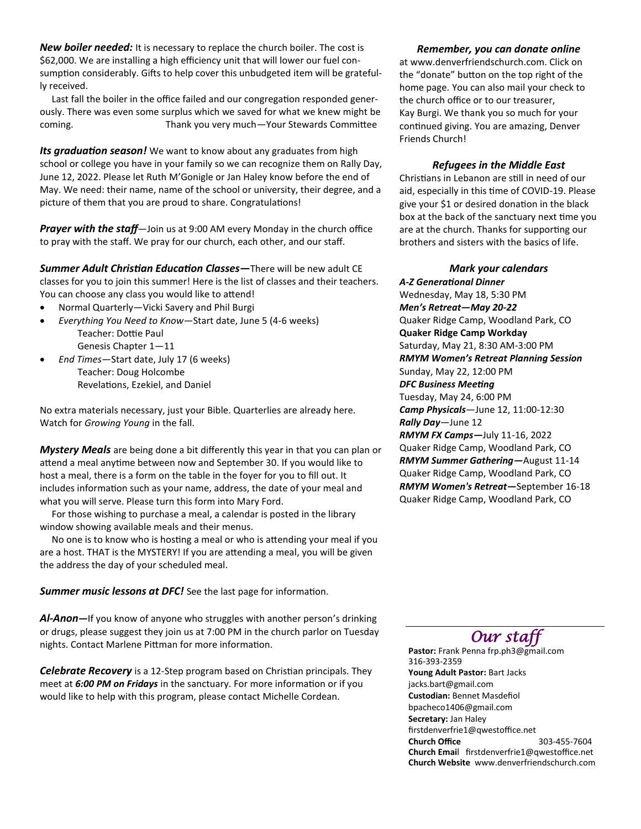*New boiler needed:* It is necessary to replace the church boiler. The cost is \$62,000. We are installing a high efficiency unit that will lower our fuel consumption considerably. Gifts to help cover this unbudgeted item will be gratefully received.

 Last fall the boiler in the office failed and our congregation responded generously. There was even some surplus which we saved for what we knew might be coming. Thank you very much—Your Stewards Committee

*Its graduation season!* We want to know about any graduates from high school or college you have in your family so we can recognize them on Rally Day, June 12, 2022. Please let Ruth M'Gonigle or Jan Haley know before the end of May. We need: their name, name of the school or university, their degree, and a picture of them that you are proud to share. Congratulations!

*Prayer with the staff*—Join us at 9:00 AM every Monday in the church office to pray with the staff. We pray for our church, each other, and our staff.

*Summer Adult Christian Education Classes—*There will be new adult CE classes for you to join this summer! Here is the list of classes and their teachers. You can choose any class you would like to attend!

- Normal Quarterly—Vicki Savery and Phil Burgi
- *Everything You Need to Know*—Start date, June 5 (4-6 weeks) Teacher: Dottie Paul Genesis Chapter 1—11
- *End Times*—Start date, July 17 (6 weeks) Teacher: Doug Holcombe Revelations, Ezekiel, and Daniel

No extra materials necessary, just your Bible. Quarterlies are already here. Watch for *Growing Young* in the fall.

*Mystery Meals* are being done a bit differently this year in that you can plan or attend a meal anytime between now and September 30. If you would like to host a meal, there is a form on the table in the foyer for you to fill out. It includes information such as your name, address, the date of your meal and what you will serve. Please turn this form into Mary Ford.

 For those wishing to purchase a meal, a calendar is posted in the library window showing available meals and their menus.

 No one is to know who is hosting a meal or who is attending your meal if you are a host. THAT is the MYSTERY! If you are attending a meal, you will be given the address the day of your scheduled meal.

*Summer music lessons at DFC!* See the last page for information.

*Al-Anon—*If you know of anyone who struggles with another person's drinking or drugs, please suggest they join us at 7:00 PM in the church parlor on Tuesday nights. Contact Marlene Pittman for more information.

*Celebrate Recovery* is a 12-Step program based on Christian principals. They meet at *6:00 PM on Fridays* in the sanctuary. For more information or if you would like to help with this program, please contact Michelle Cordean.

#### *Remember, you can donate online*

at www.denverfriendschurch.com. Click on the "donate" button on the top right of the home page. You can also mail your check to the church office or to our treasurer, Kay Burgi. We thank you so much for your continued giving. You are amazing, Denver Friends Church!

### *Refugees in the Middle East*

Christians in Lebanon are still in need of our aid, especially in this time of COVID-19. Please give your \$1 or desired donation in the black box at the back of the sanctuary next time you are at the church. Thanks for supporting our brothers and sisters with the basics of life.

*Mark your calendars A-Z Generational Dinner* Wednesday, May 18, 5:30 PM *Men's Retreat—May 20-22* Quaker Ridge Camp, Woodland Park, CO **Quaker Ridge Camp Workday** Saturday, May 21, 8:30 AM-3:00 PM *RMYM Women's Retreat Planning Session* Sunday, May 22, 12:00 PM *DFC Business Meeting* Tuesday, May 24, 6:00 PM *Camp Physicals*—June 12, 11:00-12:30 *Rally Day*—June 12 *RMYM FX Camps—*July 11-16, 2022 Quaker Ridge Camp, Woodland Park, CO *RMYM Summer Gathering—*August 11-14 Quaker Ridge Camp, Woodland Park, CO *RMYM Women's Retreat—*September 16-18 Quaker Ridge Camp, Woodland Park, CO

### *Our staff*

**Pastor:** Frank Penna frp.ph3@gmail.com 316-393-2359 **Young Adult Pastor:** Bart Jacks jacks.bart@gmail.com **Custodian:** Bennet Masdefiol [bpacheco1406@gmail.com](mailto:bpacheco1406@gmail.com) **Secretary:** Jan Haley [firstdenverfrie1@qwestoffice.net](mailto:firstdenverfrie1@qwestoffice.net) **Church Office** 303-455-7604 **Church Emai**l firstdenverfrie1@qwestoffice.net **Church Website** www.denverfriendschurch.com